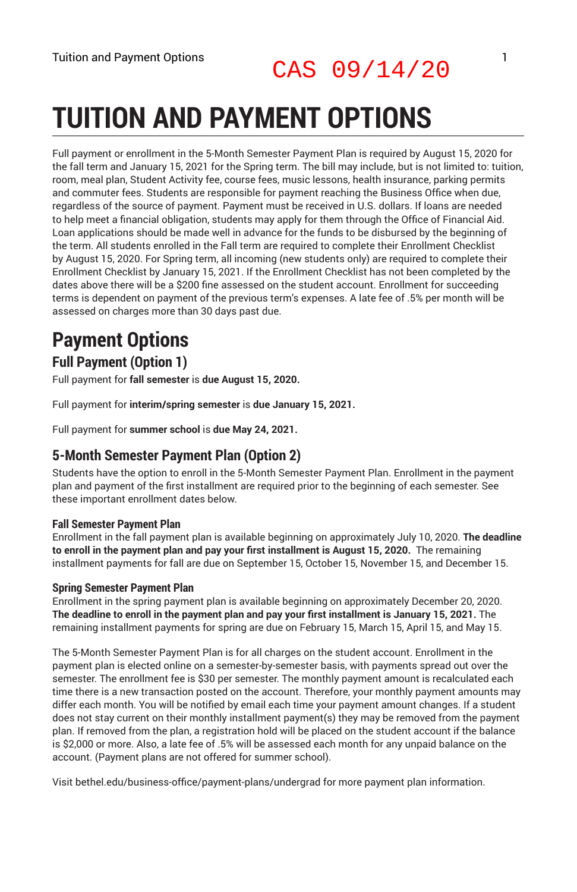# CAS 09/14/20

# **TUITION AND PAYMENT OPTIONS**

Full payment or enrollment in the 5-Month Semester Payment Plan is required by August 15, 2020 for the fall term and January 15, 2021 for the Spring term. The bill may include, but is not limited to: tuition, room, meal plan, Student Activity fee, course fees, music lessons, health insurance, parking permits and commuter fees. Students are responsible for payment reaching the Business Office when due, regardless of the source of payment. Payment must be received in U.S. dollars. If loans are needed to help meet a financial obligation, students may apply for them through the Office of Financial Aid. Loan applications should be made well in advance for the funds to be disbursed by the beginning of the term. All students enrolled in the Fall term are required to complete their Enrollment Checklist by August 15, 2020. For Spring term, all incoming (new students only) are required to complete their Enrollment Checklist by January 15, 2021. If the Enrollment Checklist has not been completed by the dates above there will be a \$200 fine assessed on the student account. Enrollment for succeeding terms is dependent on payment of the previous term's expenses. A late fee of .5% per month will be assessed on charges more than 30 days past due.

## **Payment Options**

#### **Full Payment (Option 1)**

Full payment for **fall semester** is **due August 15, 2020.**

Full payment for **interim/spring semester** is **due January 15, 2021.**

Full payment for **summer school** is **due May 24, 2021.**

#### **5-Month Semester Payment Plan (Option 2)**

Students have the option to enroll in the 5-Month Semester Payment Plan. Enrollment in the payment plan and payment of the first installment are required prior to the beginning of each semester. See these important enrollment dates below.

#### **Fall Semester Payment Plan**

Enrollment in the fall payment plan is available beginning on approximately July 10, 2020. **The deadline to enroll in the payment plan and pay your first installment is August 15, 2020.** The remaining installment payments for fall are due on September 15, October 15, November 15, and December 15.

#### **Spring Semester Payment Plan**

Enrollment in the spring payment plan is available beginning on approximately December 20, 2020. **The deadline to enroll in the payment plan and pay your first installment is January 15, 2021.** The remaining installment payments for spring are due on February 15, March 15, April 15, and May 15.

The 5-Month Semester Payment Plan is for all charges on the student account. Enrollment in the payment plan is elected online on a semester-by-semester basis, with payments spread out over the semester. The enrollment fee is \$30 per semester. The monthly payment amount is recalculated each time there is a new transaction posted on the account. Therefore, your monthly payment amounts may differ each month. You will be notified by email each time your payment amount changes. If a student does not stay current on their monthly installment payment(s) they may be removed from the payment plan. If removed from the plan, a registration hold will be placed on the student account if the balance is \$2,000 or more. Also, a late fee of .5% will be assessed each month for any unpaid balance on the account. (Payment plans are not offered for summer school).

Visit bethel.edu/business-office/payment-plans/undergrad for more payment plan information.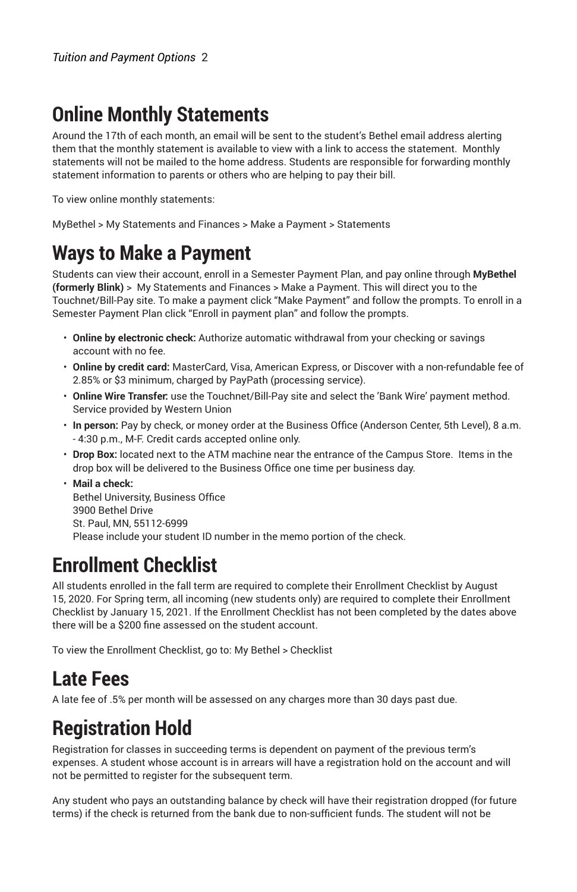#### **Online Monthly Statements**

Around the 17th of each month, an email will be sent to the student's Bethel email address alerting them that the monthly statement is available to view with a link to access the statement. Monthly statements will not be mailed to the home address. Students are responsible for forwarding monthly statement information to parents or others who are helping to pay their bill.

To view online monthly statements:

MyBethel > My Statements and Finances > Make a Payment > Statements

### **Ways to Make a Payment**

Students can view their account, enroll in a Semester Payment Plan, and pay online through **MyBethel (formerly Blink)** > My Statements and Finances > Make a Payment. This will direct you to the Touchnet/Bill-Pay site. To make a payment click "Make Payment" and follow the prompts. To enroll in a Semester Payment Plan click "Enroll in payment plan" and follow the prompts.

- **Online by electronic check:** Authorize automatic withdrawal from your checking or savings account with no fee.
- **Online by credit card:** MasterCard, Visa, American Express, or Discover with a non-refundable fee of 2.85% or \$3 minimum, charged by PayPath (processing service).
- **Online Wire Transfer:** use the Touchnet/Bill-Pay site and select the 'Bank Wire' payment method. Service provided by Western Union
- **In person:** Pay by check, or money order at the Business Office (Anderson Center, 5th Level), 8 a.m. - 4:30 p.m., M-F. Credit cards accepted online only.
- **Drop Box:** located next to the ATM machine near the entrance of the Campus Store. Items in the drop box will be delivered to the Business Office one time per business day.
- **Mail a check:** Bethel University, Business Office 3900 Bethel Drive St. Paul, MN, 55112-6999 Please include your student ID number in the memo portion of the check.

### **Enrollment Checklist**

All students enrolled in the fall term are required to complete their Enrollment Checklist by August 15, 2020. For Spring term, all incoming (new students only) are required to complete their Enrollment Checklist by January 15, 2021. If the Enrollment Checklist has not been completed by the dates above there will be a \$200 fine assessed on the student account.

To view the Enrollment Checklist, go to: My Bethel > Checklist

#### **Late Fees**

A late fee of .5% per month will be assessed on any charges more than 30 days past due.

#### **Registration Hold**

Registration for classes in succeeding terms is dependent on payment of the previous term's expenses. A student whose account is in arrears will have a registration hold on the account and will not be permitted to register for the subsequent term.

Any student who pays an outstanding balance by check will have their registration dropped (for future terms) if the check is returned from the bank due to non-sufficient funds. The student will not be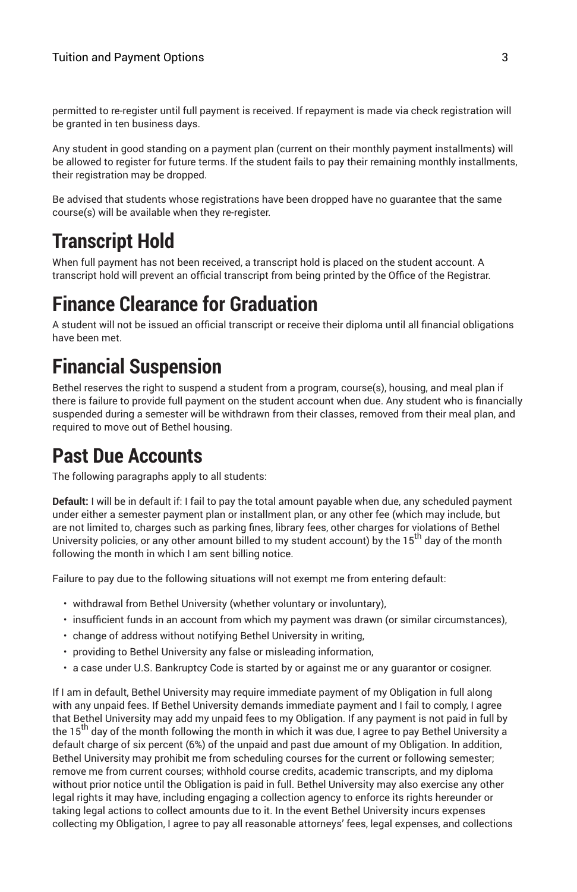permitted to re-register until full payment is received. If repayment is made via check registration will be granted in ten business days.

Any student in good standing on a payment plan (current on their monthly payment installments) will be allowed to register for future terms. If the student fails to pay their remaining monthly installments, their registration may be dropped.

Be advised that students whose registrations have been dropped have no guarantee that the same course(s) will be available when they re-register.

### **Transcript Hold**

When full payment has not been received, a transcript hold is placed on the student account. A transcript hold will prevent an official transcript from being printed by the Office of the Registrar.

#### **Finance Clearance for Graduation**

A student will not be issued an official transcript or receive their diploma until all financial obligations have been met.

### **Financial Suspension**

Bethel reserves the right to suspend a student from a program, course(s), housing, and meal plan if there is failure to provide full payment on the student account when due. Any student who is financially suspended during a semester will be withdrawn from their classes, removed from their meal plan, and required to move out of Bethel housing.

#### **Past Due Accounts**

The following paragraphs apply to all students:

**Default:** I will be in default if: I fail to pay the total amount payable when due, any scheduled payment under either a semester payment plan or installment plan, or any other fee (which may include, but are not limited to, charges such as parking fines, library fees, other charges for violations of Bethel University policies, or any other amount billed to my student account) by the 15<sup>th</sup> day of the month following the month in which I am sent billing notice.

Failure to pay due to the following situations will not exempt me from entering default:

- withdrawal from Bethel University (whether voluntary or involuntary),
- insufficient funds in an account from which my payment was drawn (or similar circumstances),
- change of address without notifying Bethel University in writing,
- providing to Bethel University any false or misleading information,
- a case under U.S. Bankruptcy Code is started by or against me or any guarantor or cosigner.

If I am in default, Bethel University may require immediate payment of my Obligation in full along with any unpaid fees. If Bethel University demands immediate payment and I fail to comply, I agree that Bethel University may add my unpaid fees to my Obligation. If any payment is not paid in full by the 15<sup>th</sup> day of the month following the month in which it was due, I agree to pay Bethel University a default charge of six percent (6%) of the unpaid and past due amount of my Obligation. In addition, Bethel University may prohibit me from scheduling courses for the current or following semester; remove me from current courses; withhold course credits, academic transcripts, and my diploma without prior notice until the Obligation is paid in full. Bethel University may also exercise any other legal rights it may have, including engaging a collection agency to enforce its rights hereunder or taking legal actions to collect amounts due to it. In the event Bethel University incurs expenses collecting my Obligation, I agree to pay all reasonable attorneys' fees, legal expenses, and collections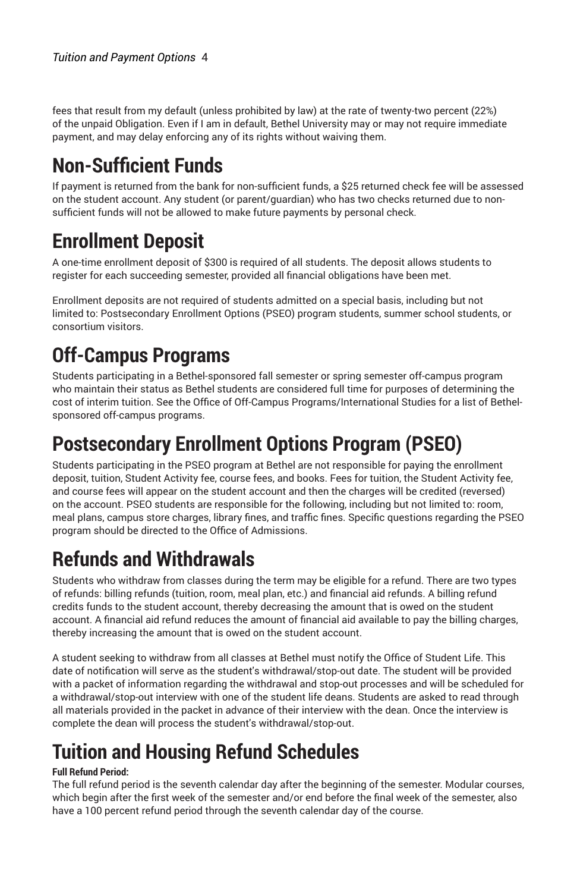fees that result from my default (unless prohibited by law) at the rate of twenty-two percent (22%) of the unpaid Obligation. Even if I am in default, Bethel University may or may not require immediate payment, and may delay enforcing any of its rights without waiving them.

## **Non-Sufficient Funds**

If payment is returned from the bank for non-sufficient funds, a \$25 returned check fee will be assessed on the student account. Any student (or parent/guardian) who has two checks returned due to nonsufficient funds will not be allowed to make future payments by personal check.

## **Enrollment Deposit**

A one-time enrollment deposit of \$300 is required of all students. The deposit allows students to register for each succeeding semester, provided all financial obligations have been met.

Enrollment deposits are not required of students admitted on a special basis, including but not limited to: Postsecondary Enrollment Options (PSEO) program students, summer school students, or consortium visitors.

## **Off-Campus Programs**

Students participating in a Bethel-sponsored fall semester or spring semester off-campus program who maintain their status as Bethel students are considered full time for purposes of determining the cost of interim tuition. See the Office of Off-Campus Programs/International Studies for a list of Bethelsponsored off-campus programs.

### **Postsecondary Enrollment Options Program (PSEO)**

Students participating in the PSEO program at Bethel are not responsible for paying the enrollment deposit, tuition, Student Activity fee, course fees, and books. Fees for tuition, the Student Activity fee, and course fees will appear on the student account and then the charges will be credited (reversed) on the account. PSEO students are responsible for the following, including but not limited to: room, meal plans, campus store charges, library fines, and traffic fines. Specific questions regarding the PSEO program should be directed to the Office of Admissions.

## **Refunds and Withdrawals**

Students who withdraw from classes during the term may be eligible for a refund. There are two types of refunds: billing refunds (tuition, room, meal plan, etc.) and financial aid refunds. A billing refund credits funds to the student account, thereby decreasing the amount that is owed on the student account. A financial aid refund reduces the amount of financial aid available to pay the billing charges, thereby increasing the amount that is owed on the student account.

A student seeking to withdraw from all classes at Bethel must notify the Office of Student Life. This date of notification will serve as the student's withdrawal/stop-out date. The student will be provided with a packet of information regarding the withdrawal and stop-out processes and will be scheduled for a withdrawal/stop-out interview with one of the student life deans. Students are asked to read through all materials provided in the packet in advance of their interview with the dean. Once the interview is complete the dean will process the student's withdrawal/stop-out.

# **Tuition and Housing Refund Schedules**

#### **Full Refund Period:**

The full refund period is the seventh calendar day after the beginning of the semester. Modular courses, which begin after the first week of the semester and/or end before the final week of the semester, also have a 100 percent refund period through the seventh calendar day of the course.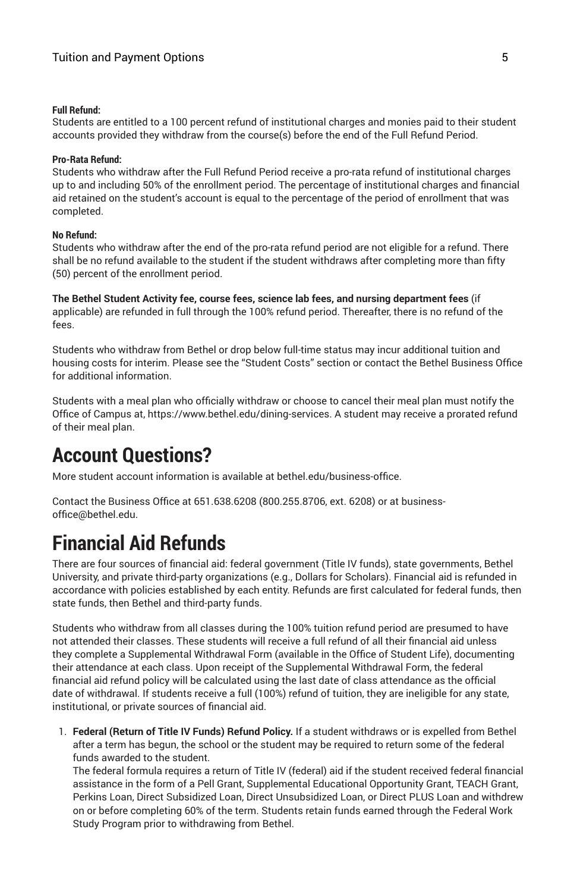#### **Full Refund:**

Students are entitled to a 100 percent refund of institutional charges and monies paid to their student accounts provided they withdraw from the course(s) before the end of the Full Refund Period.

#### **Pro-Rata Refund:**

Students who withdraw after the Full Refund Period receive a pro-rata refund of institutional charges up to and including 50% of the enrollment period. The percentage of institutional charges and financial aid retained on the student's account is equal to the percentage of the period of enrollment that was completed.

#### **No Refund:**

Students who withdraw after the end of the pro-rata refund period are not eligible for a refund. There shall be no refund available to the student if the student withdraws after completing more than fifty (50) percent of the enrollment period.

**The Bethel Student Activity fee, course fees, science lab fees, and nursing department fees** (if applicable) are refunded in full through the 100% refund period. Thereafter, there is no refund of the fees.

Students who withdraw from Bethel or drop below full-time status may incur additional tuition and housing costs for interim. Please see the "Student Costs" section or contact the Bethel Business Office for additional information.

Students with a meal plan who officially withdraw or choose to cancel their meal plan must notify the Office of Campus at, https://www.bethel.edu/dining-services. A student may receive a prorated refund of their meal plan.

#### **Account Questions?**

More student account information is available at bethel.edu/business-office.

Contact the Business Office at 651.638.6208 (800.255.8706, ext. 6208) or at businessoffice@bethel.edu.

#### **Financial Aid Refunds**

There are four sources of financial aid: federal government (Title IV funds), state governments, Bethel University, and private third-party organizations (e.g., Dollars for Scholars). Financial aid is refunded in accordance with policies established by each entity. Refunds are first calculated for federal funds, then state funds, then Bethel and third-party funds.

Students who withdraw from all classes during the 100% tuition refund period are presumed to have not attended their classes. These students will receive a full refund of all their financial aid unless they complete a Supplemental Withdrawal Form (available in the Office of Student Life), documenting their attendance at each class. Upon receipt of the Supplemental Withdrawal Form, the federal financial aid refund policy will be calculated using the last date of class attendance as the official date of withdrawal. If students receive a full (100%) refund of tuition, they are ineligible for any state, institutional, or private sources of financial aid.

1. **Federal (Return of Title IV Funds) Refund Policy.** If a student withdraws or is expelled from Bethel after a term has begun, the school or the student may be required to return some of the federal funds awarded to the student.

The federal formula requires a return of Title IV (federal) aid if the student received federal financial assistance in the form of a Pell Grant, Supplemental Educational Opportunity Grant, TEACH Grant, Perkins Loan, Direct Subsidized Loan, Direct Unsubsidized Loan, or Direct PLUS Loan and withdrew on or before completing 60% of the term. Students retain funds earned through the Federal Work Study Program prior to withdrawing from Bethel.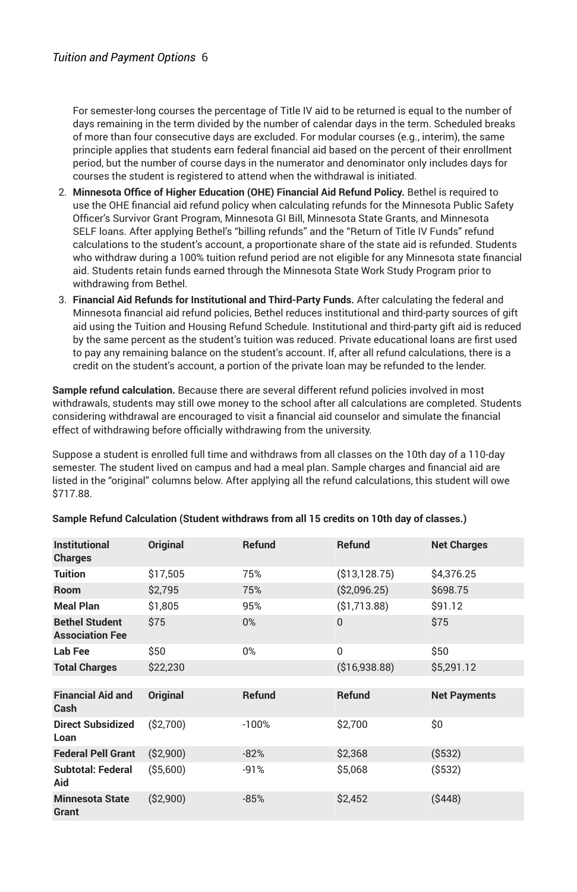For semester-long courses the percentage of Title IV aid to be returned is equal to the number of days remaining in the term divided by the number of calendar days in the term. Scheduled breaks of more than four consecutive days are excluded. For modular courses (e.g., interim), the same principle applies that students earn federal financial aid based on the percent of their enrollment period, but the number of course days in the numerator and denominator only includes days for courses the student is registered to attend when the withdrawal is initiated.

- 2. **Minnesota Office of Higher Education (OHE) Financial Aid Refund Policy.** Bethel is required to use the OHE financial aid refund policy when calculating refunds for the Minnesota Public Safety Officer's Survivor Grant Program, Minnesota GI Bill, Minnesota State Grants, and Minnesota SELF loans. After applying Bethel's "billing refunds" and the "Return of Title IV Funds" refund calculations to the student's account, a proportionate share of the state aid is refunded. Students who withdraw during a 100% tuition refund period are not eligible for any Minnesota state financial aid. Students retain funds earned through the Minnesota State Work Study Program prior to withdrawing from Bethel.
- 3. **Financial Aid Refunds for Institutional and Third-Party Funds.** After calculating the federal and Minnesota financial aid refund policies, Bethel reduces institutional and third-party sources of gift aid using the Tuition and Housing Refund Schedule. Institutional and third-party gift aid is reduced by the same percent as the student's tuition was reduced. Private educational loans are first used to pay any remaining balance on the student's account. If, after all refund calculations, there is a credit on the student's account, a portion of the private loan may be refunded to the lender.

**Sample refund calculation.** Because there are several different refund policies involved in most withdrawals, students may still owe money to the school after all calculations are completed. Students considering withdrawal are encouraged to visit a financial aid counselor and simulate the financial effect of withdrawing before officially withdrawing from the university.

Suppose a student is enrolled full time and withdraws from all classes on the 10th day of a 110-day semester. The student lived on campus and had a meal plan. Sample charges and financial aid are listed in the "original" columns below. After applying all the refund calculations, this student will owe \$717.88.

| Institutional<br><b>Charges</b>                 | <b>Original</b> | Refund  | <b>Refund</b>   | <b>Net Charges</b>  |
|-------------------------------------------------|-----------------|---------|-----------------|---------------------|
| Tuition                                         | \$17,505        | 75%     | ( \$13, 128.75) | \$4,376.25          |
| <b>Room</b>                                     | \$2,795         | 75%     | (S2,096.25)     | \$698.75            |
| <b>Meal Plan</b>                                | \$1,805         | 95%     | (S1, 713.88)    | \$91.12             |
| <b>Bethel Student</b><br><b>Association Fee</b> | \$75            | 0%      | $\Omega$        | \$75                |
| Lab Fee                                         | \$50            | 0%      | $\Omega$        | \$50                |
| <b>Total Charges</b>                            | \$22,230        |         | ( \$16, 938.88) | \$5,291.12          |
| <b>Financial Aid and</b><br>Cash                | <b>Original</b> | Refund  | <b>Refund</b>   | <b>Net Payments</b> |
| <b>Direct Subsidized</b><br>Loan                | (S2,700)        | $-100%$ | \$2,700         | \$0                 |
| <b>Federal Pell Grant</b>                       | (S2,900)        | $-82%$  | \$2,368         | ( \$532)            |
| <b>Subtotal: Federal</b><br>Aid                 | ( \$5,600)      | $-91%$  | \$5,068         | ( \$532)            |
| <b>Minnesota State</b><br>Grant                 | (\$2,900)       | $-85%$  | \$2,452         | ( \$448)            |

#### **Sample Refund Calculation (Student withdraws from all 15 credits on 10th day of classes.)**